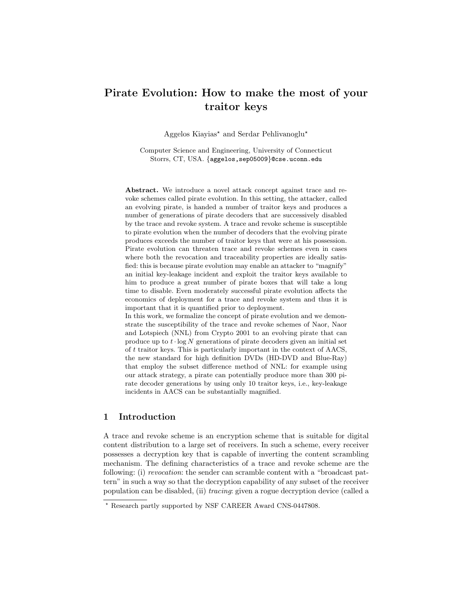# Pirate Evolution: How to make the most of your traitor keys

Aggelos Kiayias<sup>\*</sup> and Serdar Pehlivanoglu<sup>\*</sup>

Computer Science and Engineering, University of Connecticut Storrs, CT, USA. {aggelos,sep05009}@cse.uconn.edu

Abstract. We introduce a novel attack concept against trace and revoke schemes called pirate evolution. In this setting, the attacker, called an evolving pirate, is handed a number of traitor keys and produces a number of generations of pirate decoders that are successively disabled by the trace and revoke system. A trace and revoke scheme is susceptible to pirate evolution when the number of decoders that the evolving pirate produces exceeds the number of traitor keys that were at his possession. Pirate evolution can threaten trace and revoke schemes even in cases where both the revocation and traceability properties are ideally satisfied: this is because pirate evolution may enable an attacker to "magnify" an initial key-leakage incident and exploit the traitor keys available to him to produce a great number of pirate boxes that will take a long time to disable. Even moderately successful pirate evolution affects the economics of deployment for a trace and revoke system and thus it is important that it is quantified prior to deployment.

In this work, we formalize the concept of pirate evolution and we demonstrate the susceptibility of the trace and revoke schemes of Naor, Naor and Lotspiech (NNL) from Crypto 2001 to an evolving pirate that can produce up to  $t \cdot \log N$  generations of pirate decoders given an initial set of  $t$  traitor keys. This is particularly important in the context of AACS, the new standard for high definition DVDs (HD-DVD and Blue-Ray) that employ the subset difference method of NNL: for example using our attack strategy, a pirate can potentially produce more than 300 pirate decoder generations by using only 10 traitor keys, i.e., key-leakage incidents in AACS can be substantially magnified.

# 1 Introduction

A trace and revoke scheme is an encryption scheme that is suitable for digital content distribution to a large set of receivers. In such a scheme, every receiver possesses a decryption key that is capable of inverting the content scrambling mechanism. The defining characteristics of a trace and revoke scheme are the following: (i) revocation: the sender can scramble content with a "broadcast pattern" in such a way so that the decryption capability of any subset of the receiver population can be disabled, (ii) tracing: given a rogue decryption device (called a

<sup>?</sup> Research partly supported by NSF CAREER Award CNS-0447808.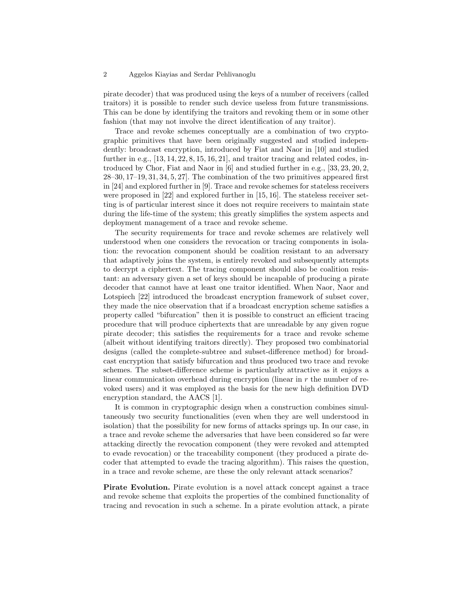pirate decoder) that was produced using the keys of a number of receivers (called traitors) it is possible to render such device useless from future transmissions. This can be done by identifying the traitors and revoking them or in some other fashion (that may not involve the direct identification of any traitor).

Trace and revoke schemes conceptually are a combination of two cryptographic primitives that have been originally suggested and studied independently: broadcast encryption, introduced by Fiat and Naor in [10] and studied further in e.g.,  $[13, 14, 22, 8, 15, 16, 21]$ , and traitor tracing and related codes, introduced by Chor, Fiat and Naor in [6] and studied further in e.g., [33, 23, 20, 2, 28–30, 17–19, 31, 34, 5, 27]. The combination of the two primitives appeared first in [24] and explored further in [9]. Trace and revoke schemes for stateless receivers were proposed in [22] and explored further in [15, 16]. The stateless receiver setting is of particular interest since it does not require receivers to maintain state during the life-time of the system; this greatly simplifies the system aspects and deployment management of a trace and revoke scheme.

The security requirements for trace and revoke schemes are relatively well understood when one considers the revocation or tracing components in isolation: the revocation component should be coalition resistant to an adversary that adaptively joins the system, is entirely revoked and subsequently attempts to decrypt a ciphertext. The tracing component should also be coalition resistant: an adversary given a set of keys should be incapable of producing a pirate decoder that cannot have at least one traitor identified. When Naor, Naor and Lotspiech [22] introduced the broadcast encryption framework of subset cover, they made the nice observation that if a broadcast encryption scheme satisfies a property called "bifurcation" then it is possible to construct an efficient tracing procedure that will produce ciphertexts that are unreadable by any given rogue pirate decoder; this satisfies the requirements for a trace and revoke scheme (albeit without identifying traitors directly). They proposed two combinatorial designs (called the complete-subtree and subset-difference method) for broadcast encryption that satisfy bifurcation and thus produced two trace and revoke schemes. The subset-difference scheme is particularly attractive as it enjoys a linear communication overhead during encryption (linear in  $r$  the number of revoked users) and it was employed as the basis for the new high definition DVD encryption standard, the AACS [1].

It is common in cryptographic design when a construction combines simultaneously two security functionalities (even when they are well understood in isolation) that the possibility for new forms of attacks springs up. In our case, in a trace and revoke scheme the adversaries that have been considered so far were attacking directly the revocation component (they were revoked and attempted to evade revocation) or the traceability component (they produced a pirate decoder that attempted to evade the tracing algorithm). This raises the question, in a trace and revoke scheme, are these the only relevant attack scenarios?

Pirate Evolution. Pirate evolution is a novel attack concept against a trace and revoke scheme that exploits the properties of the combined functionality of tracing and revocation in such a scheme. In a pirate evolution attack, a pirate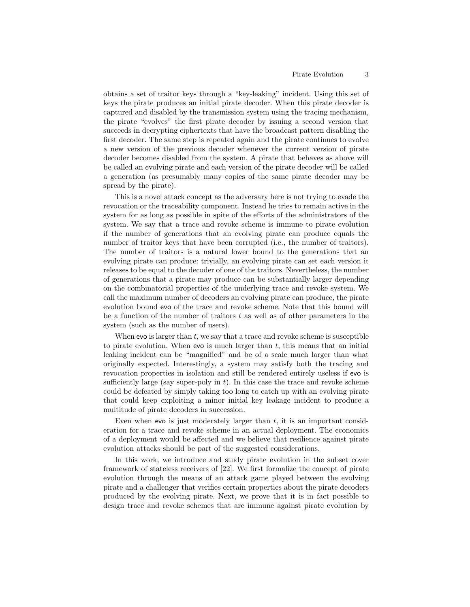obtains a set of traitor keys through a "key-leaking" incident. Using this set of keys the pirate produces an initial pirate decoder. When this pirate decoder is captured and disabled by the transmission system using the tracing mechanism, the pirate "evolves" the first pirate decoder by issuing a second version that succeeds in decrypting ciphertexts that have the broadcast pattern disabling the first decoder. The same step is repeated again and the pirate continues to evolve a new version of the previous decoder whenever the current version of pirate decoder becomes disabled from the system. A pirate that behaves as above will be called an evolving pirate and each version of the pirate decoder will be called a generation (as presumably many copies of the same pirate decoder may be spread by the pirate).

This is a novel attack concept as the adversary here is not trying to evade the revocation or the traceability component. Instead he tries to remain active in the system for as long as possible in spite of the efforts of the administrators of the system. We say that a trace and revoke scheme is immune to pirate evolution if the number of generations that an evolving pirate can produce equals the number of traitor keys that have been corrupted (i.e., the number of traitors). The number of traitors is a natural lower bound to the generations that an evolving pirate can produce: trivially, an evolving pirate can set each version it releases to be equal to the decoder of one of the traitors. Nevertheless, the number of generations that a pirate may produce can be substantially larger depending on the combinatorial properties of the underlying trace and revoke system. We call the maximum number of decoders an evolving pirate can produce, the pirate evolution bound evo of the trace and revoke scheme. Note that this bound will be a function of the number of traitors  $t$  as well as of other parameters in the system (such as the number of users).

When  $evo$  is larger than  $t$ , we say that a trace and revoke scheme is susceptible to pirate evolution. When evo is much larger than  $t$ , this means that an initial leaking incident can be "magnified" and be of a scale much larger than what originally expected. Interestingly, a system may satisfy both the tracing and revocation properties in isolation and still be rendered entirely useless if evo is sufficiently large (say super-poly in  $t$ ). In this case the trace and revoke scheme could be defeated by simply taking too long to catch up with an evolving pirate that could keep exploiting a minor initial key leakage incident to produce a multitude of pirate decoders in succession.

Even when evo is just moderately larger than  $t$ , it is an important consideration for a trace and revoke scheme in an actual deployment. The economics of a deployment would be affected and we believe that resilience against pirate evolution attacks should be part of the suggested considerations.

In this work, we introduce and study pirate evolution in the subset cover framework of stateless receivers of [22]. We first formalize the concept of pirate evolution through the means of an attack game played between the evolving pirate and a challenger that verifies certain properties about the pirate decoders produced by the evolving pirate. Next, we prove that it is in fact possible to design trace and revoke schemes that are immune against pirate evolution by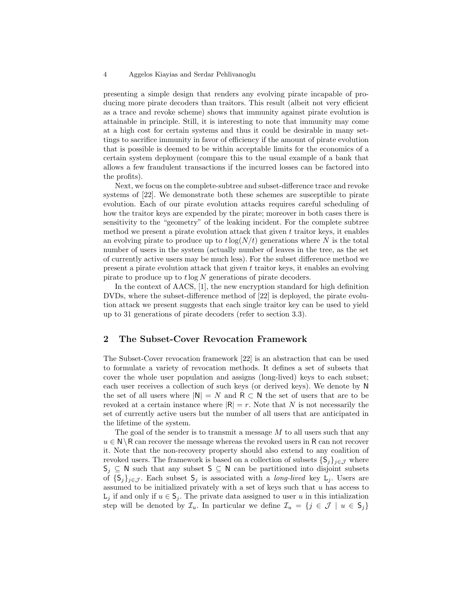presenting a simple design that renders any evolving pirate incapable of producing more pirate decoders than traitors. This result (albeit not very efficient as a trace and revoke scheme) shows that immunity against pirate evolution is attainable in principle. Still, it is interesting to note that immunity may come at a high cost for certain systems and thus it could be desirable in many settings to sacrifice immunity in favor of efficiency if the amount of pirate evolution that is possible is deemed to be within acceptable limits for the economics of a certain system deployment (compare this to the usual example of a bank that allows a few fraudulent transactions if the incurred losses can be factored into the profits).

Next, we focus on the complete-subtree and subset-difference trace and revoke systems of [22]. We demonstrate both these schemes are susceptible to pirate evolution. Each of our pirate evolution attacks requires careful scheduling of how the traitor keys are expended by the pirate; moreover in both cases there is sensitivity to the "geometry" of the leaking incident. For the complete subtree method we present a pirate evolution attack that given  $t$  traitor keys, it enables an evolving pirate to produce up to  $t \log(N/t)$  generations where N is the total number of users in the system (actually number of leaves in the tree, as the set of currently active users may be much less). For the subset difference method we present a pirate evolution attack that given  $t$  traitor keys, it enables an evolving pirate to produce up to  $t \log N$  generations of pirate decoders.

In the context of AACS, [1], the new encryption standard for high definition DVDs, where the subset-difference method of [22] is deployed, the pirate evolution attack we present suggests that each single traitor key can be used to yield up to 31 generations of pirate decoders (refer to section 3.3).

# 2 The Subset-Cover Revocation Framework

The Subset-Cover revocation framework [22] is an abstraction that can be used to formulate a variety of revocation methods. It defines a set of subsets that cover the whole user population and assigns (long-lived) keys to each subset; each user receives a collection of such keys (or derived keys). We denote by N the set of all users where  $|N| = N$  and  $R \subset N$  the set of users that are to be revoked at a certain instance where  $|R| = r$ . Note that N is not necessarily the set of currently active users but the number of all users that are anticipated in the lifetime of the system.

The goal of the sender is to transmit a message  $M$  to all users such that any  $u \in N \backslash R$  can recover the message whereas the revoked users in R can not recover it. Note that the non-recovery property should also extend to any coalition of revoked users. The framework is based on a collection of subsets  $\{S_i\}_{i\in\mathcal{I}}$  where  $\mathsf{S}_j \subseteq \mathsf{N}$  such that any subset  $\mathsf{S} \subseteq \mathsf{N}$  can be partitioned into disjoint subsets of  $\{S_j\}_{j\in\mathcal{J}}$ . Each subset  $S_j$  is associated with a *long-lived* key  $L_j$ . Users are assumed to be initialized privately with a set of keys such that u has access to  $L_j$  if and only if  $u \in S_j$ . The private data assigned to user u in this intialization step will be denoted by  $\mathcal{I}_u$ . In particular we define  $\mathcal{I}_u = \{j \in \mathcal{J} \mid u \in \mathsf{S}_j\}$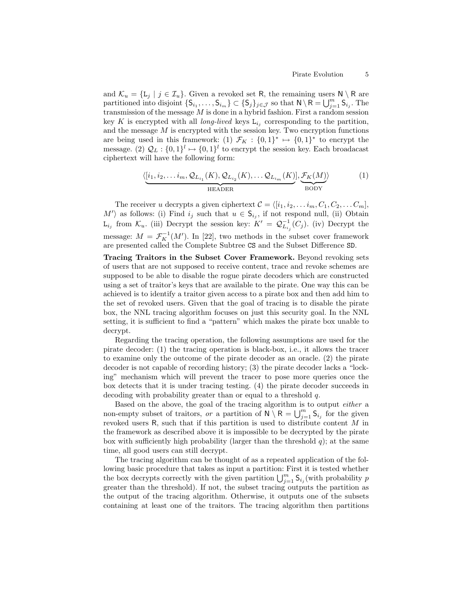and  $\mathcal{K}_u = {\mathcal{L}_j \mid j \in \mathcal{I}_u}$ . Given a revoked set R, the remaining users  $\mathsf{N} \setminus \mathsf{R}$  are partitioned into disjoint  $\{S_{i_1},...,S_{i_m}\}\subset \{S_j\}_{j\in\mathcal{J}}\}$  so that  $\mathsf{N}\setminus\mathsf{R}=\bigcup_{j=1}^m S_{i_j}$ . The transmission of the message  $M$  is done in a hybrid fashion. First a random session key K is encrypted with all *long-lived* keys  $L_{i_j}$  corresponding to the partition, and the message  $M$  is encrypted with the session key. Two encryption functions are being used in this framework: (1)  $\mathcal{F}_K$ :  $\{0,1\}^* \mapsto \{0,1\}^*$  to encrypt the message. (2)  $\mathcal{Q}_L: \{0,1\}^l \mapsto \{0,1\}^l$  to encrypt the session key. Each broadacast ciphertext will have the following form:

$$
\langle [i_1, i_2, \dots i_m, \mathcal{Q}_{L_{i_1}}(K), \mathcal{Q}_{L_{i_2}}(K), \dots \mathcal{Q}_{L_{i_m}}(K)], \underbrace{\mathcal{F}_K(M)}_{\text{BODY}} \rangle
$$
 (1)

The receiver u decrypts a given ciphertext  $\mathcal{C} = \langle [i_1, i_2, \ldots i_m, C_1, C_2, \ldots C_m],$  $M'$  as follows: (i) Find  $i_j$  such that  $u \in \mathsf{S}_{i_j}$ , if not respond null, (ii) Obtain  $\mathsf{L}_{i_j}$  from  $\mathcal{K}_u$ . (iii) Decrypt the session key:  $K' = \mathcal{Q}_{L_{i_j}}^{-1}(C_j)$ . (iv) Decrypt the message:  $M = \mathcal{F}_K^{-1}(M')$ . In [22], two methods in the subset cover framework are presented called the Complete Subtree CS and the Subset Difference SD.

Tracing Traitors in the Subset Cover Framework. Beyond revoking sets of users that are not supposed to receive content, trace and revoke schemes are supposed to be able to disable the rogue pirate decoders which are constructed using a set of traitor's keys that are available to the pirate. One way this can be achieved is to identify a traitor given access to a pirate box and then add him to the set of revoked users. Given that the goal of tracing is to disable the pirate box, the NNL tracing algorithm focuses on just this security goal. In the NNL setting, it is sufficient to find a "pattern" which makes the pirate box unable to decrypt.

Regarding the tracing operation, the following assumptions are used for the pirate decoder: (1) the tracing operation is black-box, i.e., it allows the tracer to examine only the outcome of the pirate decoder as an oracle. (2) the pirate decoder is not capable of recording history; (3) the pirate decoder lacks a "locking" mechanism which will prevent the tracer to pose more queries once the box detects that it is under tracing testing. (4) the pirate decoder succeeds in decoding with probability greater than or equal to a threshold q.

Based on the above, the goal of the tracing algorithm is to output either a non-empty subset of traitors, or a partition of  $N \setminus R = \bigcup_{j=1}^m S_{i_j}$  for the given revoked users R, such that if this partition is used to distribute content M in the framework as described above it is impossible to be decrypted by the pirate box with sufficiently high probability (larger than the threshold  $q$ ); at the same time, all good users can still decrypt.

The tracing algorithm can be thought of as a repeated application of the following basic procedure that takes as input a partition: First it is tested whether the box decrypts correctly with the given partition  $\bigcup_{j=1}^m \mathsf{S}_{i_j}$  (with probability p greater than the threshold). If not, the subset tracing outputs the partition as the output of the tracing algorithm. Otherwise, it outputs one of the subsets containing at least one of the traitors. The tracing algorithm then partitions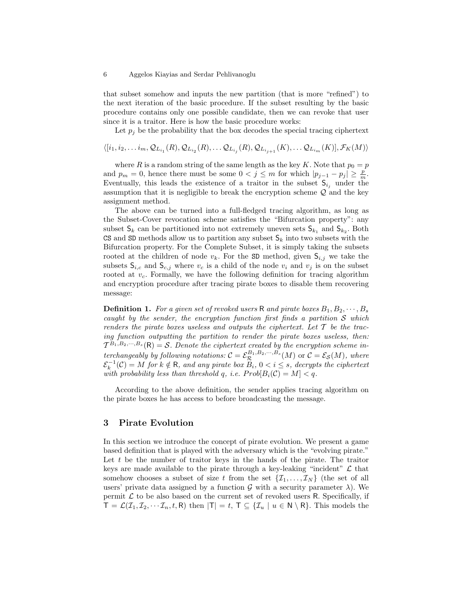that subset somehow and inputs the new partition (that is more "refined") to the next iteration of the basic procedure. If the subset resulting by the basic procedure contains only one possible candidate, then we can revoke that user since it is a traitor. Here is how the basic procedure works:

Let  $p_i$  be the probability that the box decodes the special tracing ciphertext

$$
\langle [i_1, i_2, \ldots i_m, \mathcal{Q}_{L_{i_1}}(R), \mathcal{Q}_{L_{i_2}}(R), \ldots \mathcal{Q}_{L_{i_j}}(R), \mathcal{Q}_{L_{i_{j+1}}}(K), \ldots \mathcal{Q}_{L_{i_m}}(K)], \mathcal{F}_K(M) \rangle
$$

where R is a random string of the same length as the key K. Note that  $p_0 = p$ and  $p_m = 0$ , hence there must be some  $0 < j \le m$  for which  $|p_{j-1} - p_j| \ge \frac{p}{m}$ . Eventually, this leads the existence of a traitor in the subset  $S_{i_j}$  under the assumption that it is negligible to break the encryption scheme  $Q$  and the key assignment method.

The above can be turned into a full-fledged tracing algorithm, as long as the Subset-Cover revocation scheme satisfies the "Bifurcation property": any subset  $\mathsf{S}_k$  can be partitioned into not extremely uneven sets  $\mathsf{S}_{k_1}$  and  $\mathsf{S}_{k_2}$ . Both CS and SD methods allow us to partition any subset  $S_k$  into two subsets with the Bifurcation property. For the Complete Subset, it is simply taking the subsets rooted at the children of node  $v_k$ . For the SD method, given  $S_{i,j}$  we take the subsets  $S_{i,c}$  and  $S_{c,j}$  where  $v_c$  is a child of the node  $v_i$  and  $v_j$  is on the subset rooted at  $v_c$ . Formally, we have the following definition for tracing algorithm and encryption procedure after tracing pirate boxes to disable them recovering message:

**Definition 1.** For a given set of revoked users R and pirate boxes  $B_1, B_2, \cdots, B_s$ caught by the sender, the encryption function first finds a partition  $S$  which renders the pirate boxes useless and outputs the ciphertext. Let  $\mathcal T$  be the tracing function outputting the partition to render the pirate boxes useless, then:  $\mathcal{T}^{B_1,B_2,\cdots,B_s}(\mathsf{R})=\mathcal{S}$ . Denote the ciphertext created by the encryption scheme interchangeably by following notations:  $C = \mathcal{E}_{\mathcal{R}}^{B_1,B_2,\cdots,B_s}(M)$  or  $\mathcal{C} = \mathcal{E}_{\mathcal{S}}(M)$ , where  $\mathcal{E}_k^{-1}(\mathcal{C}) = M$  for  $k \notin \mathsf{R}$ , and any pirate box  $B_i$ ,  $0 < i \leq s$ , decrypts the ciphertext with probability less than threshold q, i.e.  $Prob[B_i(\mathcal{C}) = M] < q$ .

According to the above definition, the sender applies tracing algorithm on the pirate boxes he has access to before broadcasting the message.

# 3 Pirate Evolution

In this section we introduce the concept of pirate evolution. We present a game based definition that is played with the adversary which is the "evolving pirate." Let  $t$  be the number of traitor keys in the hands of the pirate. The traitor keys are made available to the pirate through a key-leaking "incident"  $\mathcal L$  that somehow chooses a subset of size t from the set  $\{\mathcal{I}_1, \ldots, \mathcal{I}_N\}$  (the set of all users' private data assigned by a function G with a security parameter  $\lambda$ ). We permit  $\mathcal L$  to be also based on the current set of revoked users R. Specifically, if  $\mathsf{T} = \mathcal{L}(\mathcal{I}_1, \mathcal{I}_2, \cdots, \mathcal{I}_n, t, \mathsf{R})$  then  $|\mathsf{T}| = t$ ,  $\mathsf{T} \subseteq {\mathcal{I}_u \mid u \in \mathsf{N} \setminus \mathsf{R}}$ . This models the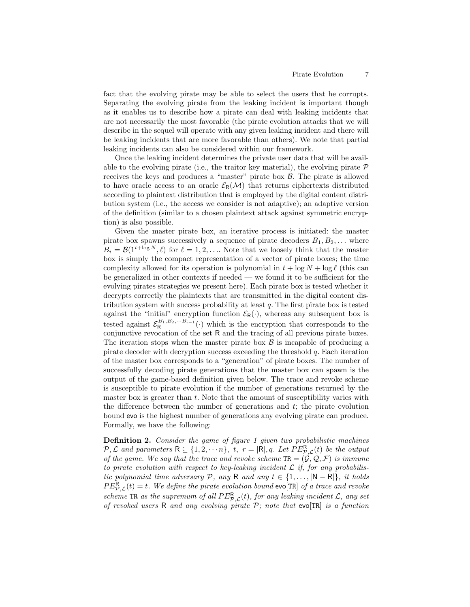fact that the evolving pirate may be able to select the users that he corrupts. Separating the evolving pirate from the leaking incident is important though as it enables us to describe how a pirate can deal with leaking incidents that are not necessarily the most favorable (the pirate evolution attacks that we will describe in the sequel will operate with any given leaking incident and there will be leaking incidents that are more favorable than others). We note that partial leaking incidents can also be considered within our framework.

Once the leaking incident determines the private user data that will be available to the evolving pirate (i.e., the traitor key material), the evolving pirate  $\mathcal P$ receives the keys and produces a "master" pirate box B. The pirate is allowed to have oracle access to an oracle  $\mathcal{E}_{R}(\mathcal{M})$  that returns ciphertexts distributed according to plaintext distribution that is employed by the digital content distribution system (i.e., the access we consider is not adaptive); an adaptive version of the definition (similar to a chosen plaintext attack against symmetric encryption) is also possible.

Given the master pirate box, an iterative process is initiated: the master pirate box spawns successively a sequence of pirate decoders  $B_1, B_2, \ldots$  where  $B_i = \mathcal{B}(1^{t+\log N}, \ell)$  for  $\ell = 1, 2, \ldots$  Note that we loosely think that the master box is simply the compact representation of a vector of pirate boxes; the time complexity allowed for its operation is polynomial in  $t + \log N + \log \ell$  (this can be generalized in other contexts if needed — we found it to be sufficient for the evolving pirates strategies we present here). Each pirate box is tested whether it decrypts correctly the plaintexts that are transmitted in the digital content distribution system with success probability at least  $q$ . The first pirate box is tested against the "initial" encryption function  $\mathcal{E}_{R}(\cdot)$ , whereas any subsequent box is tested against  $\mathcal{E}_{\mathsf{R}}^{B_1,B_2,\cdots B_{i-1}}(\cdot)$  which is the encryption that corresponds to the conjunctive revocation of the set R and the tracing of all previous pirate boxes. The iteration stops when the master pirate box  $\beta$  is incapable of producing a pirate decoder with decryption success exceeding the threshold  $q$ . Each iteration of the master box corresponds to a "generation" of pirate boxes. The number of successfully decoding pirate generations that the master box can spawn is the output of the game-based definition given below. The trace and revoke scheme is susceptible to pirate evolution if the number of generations returned by the master box is greater than  $t$ . Note that the amount of susceptibility varies with the difference between the number of generations and  $t$ ; the pirate evolution bound evo is the highest number of generations any evolving pirate can produce. Formally, we have the following:

**Definition 2.** Consider the game of figure 1 given two probabilistic machines  $P, \mathcal{L}$  and parameters  $R \subseteq \{1, 2, \dotsm\}$ , t,  $r = |R|, q$ . Let  $PE_{\mathcal{P}, \mathcal{L}}^R(t)$  be the output of the game. We say that the trace and revoke scheme  $TR = (\mathcal{G}, \mathcal{Q}, \mathcal{F})$  is immune to pirate evolution with respect to key-leaking incident  $\mathcal L$  if, for any probabilistic polynomial time adversary P, any R and any  $t \in \{1, ..., |N - R|\}$ , it holds  $PE_{\mathcal{P},\mathcal{L}}^{\mathsf{R}}(t) = t$ . We define the pirate evolution bound  $\mathsf{evo}[\mathsf{TR}]$  of a trace and revoke scheme TR as the supremum of all  $PE_{\mathcal{P},\mathcal{L}}^{R}(t)$ , for any leaking incident  $\mathcal{L}$ , any set of revoked users R and any evolving pirate  $P$ ; note that evo[TR] is a function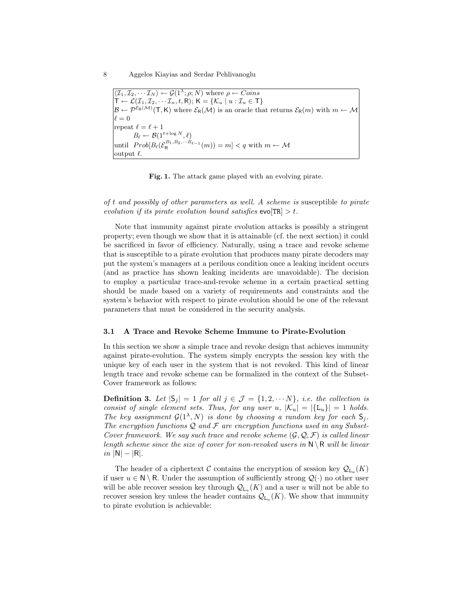$\langle \mathcal{I}_1, \mathcal{I}_2, \cdots \mathcal{I}_N \rangle \leftarrow \mathcal{G}(1^{\lambda}; \rho; N)$  where  $\rho \leftarrow \text{Coins}$  $\mathsf{T} \leftarrow \mathcal{L}(\mathcal{I}_1, \mathcal{I}_2, \cdots \mathcal{I}_n, t, \mathsf{R}); \, \mathsf{K} = \{ \mathcal{K}_u \mid u : \mathcal{I}_u \in \mathsf{T} \}$  $\mathcal{B} \leftarrow \mathcal{P}^{\mathcal{E}_{\mathsf{R}}(\mathcal{M})}(\mathsf{T},\mathsf{K})$  where  $\mathcal{E}_{\mathsf{R}}(\mathcal{M})$  is an oracle that returns  $\mathcal{E}_{\mathsf{R}}(m)$  with  $m \leftarrow \mathcal{M}$  $\ell = 0$ repeat  $\ell = \ell + 1$  $B_{\ell} \leftarrow \mathcal{B}(1^{t+\log N}, \ell)$ until  $Prob[B_{\ell}(\mathcal{E}_{\mathsf{R}}^{B_1,B_2,\cdots B_{\ell-1}}(m)) = m] < q$  with  $m \leftarrow \mathcal{M}$ output  $\ell$ .

Fig. 1. The attack game played with an evolving pirate.

of t and possibly of other parameters as well. A scheme is susceptible to pirate evolution if its pirate evolution bound satisfies  $\text{evo}[TR] > t$ .

Note that immunity against pirate evolution attacks is possibly a stringent property; even though we show that it is attainable (cf. the next section) it could be sacrificed in favor of efficiency. Naturally, using a trace and revoke scheme that is susceptible to a pirate evolution that produces many pirate decoders may put the system's managers at a perilous condition once a leaking incident occurs (and as practice has shown leaking incidents are unavoidable). The decision to employ a particular trace-and-revoke scheme in a certain practical setting should be made based on a variety of requirements and constraints and the system's behavior with respect to pirate evolution should be one of the relevant parameters that must be considered in the security analysis.

## 3.1 A Trace and Revoke Scheme Immune to Pirate-Evolution

In this section we show a simple trace and revoke design that achieves immunity against pirate-evolution. The system simply encrypts the session key with the unique key of each user in the system that is not revoked. This kind of linear length trace and revoke scheme can be formalized in the context of the Subset-Cover framework as follows:

**Definition 3.** Let  $|S_j| = 1$  for all  $j \in \mathcal{J} = \{1, 2, \cdots N\}$ , i.e. the collection is consist of single element sets. Thus, for any user u,  $|\mathcal{K}_u| = |\{\mathsf{L}_u\}| = 1$  holds. The key assignment  $\mathcal{G}(1^{\lambda}, N)$  is done by choosing a random key for each  $\mathsf{S}_j$ . The encryption functions  $Q$  and  $\mathcal F$  are encryption functions used in any Subset-Cover framework. We say such trace and revoke scheme  $(\mathcal{G}, \mathcal{Q}, \mathcal{F})$  is called linear length scheme since the size of cover for non-revoked users in  $N \ R$  will be linear  $in |N| - |R|$ .

The header of a ciphertext  $\mathcal C$  contains the encryption of session key  $\mathcal Q_{\mathrm{L}_u}(K)$ if user  $u \in N \setminus R$ . Under the assumption of sufficiently strong  $\mathcal{Q}(\cdot)$  no other user will be able recover session key through  $\mathcal{Q}_{L_u}(K)$  and a user u will not be able to recover session key unless the header contains  $\mathcal{Q}_{L_u}(K)$ . We show that immunity to pirate evolution is achievable: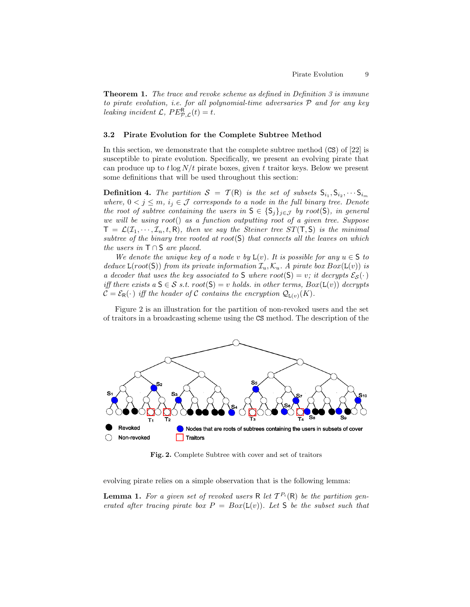**Theorem 1.** The trace and revoke scheme as defined in Definition 3 is immune to pirate evolution, i.e. for all polynomial-time adversaries  $P$  and for any key leaking incident  $\mathcal{L}, PE_{\mathcal{P},\mathcal{L}}^{R}(t) = t.$ 

## 3.2 Pirate Evolution for the Complete Subtree Method

In this section, we demonstrate that the complete subtree method (CS) of [22] is susceptible to pirate evolution. Specifically, we present an evolving pirate that can produce up to  $t \log N/t$  pirate boxes, given t traitor keys. Below we present some definitions that will be used throughout this section:

**Definition 4.** The partition  $S = T(R)$  is the set of subsets  $S_{i_1}, S_{i_2}, \cdots S_{i_m}$ where,  $0 < j \leq m$ ,  $i_j \in \mathcal{J}$  corresponds to a node in the full binary tree. Denote the root of subtree containing the users in  $S \in \{S_j\}_{j \in J}$  by root(S), in general we will be using root() as a function outputting root of a given tree. Suppose  $T = \mathcal{L}(I_1, \dots, I_n, t, R)$ , then we say the Steiner tree  $ST(T, S)$  is the minimal subtree of the binary tree rooted at root $(S)$  that connects all the leaves on which the users in  $\top \cap S$  are placed.

We denote the unique key of a node v by  $L(v)$ . It is possible for any  $u \in S$  to deduce  $L(root(S))$  from its private information  $\mathcal{I}_u, \mathcal{K}_u$ . A pirate box  $Box(L(v))$  is a decoder that uses the key associated to S where  $root(S) = v$ ; it decrypts  $\mathcal{E}_S(\cdot)$ iff there exists  $a \leq \mathcal{S} s.t. root(\mathsf{S}) = v$  holds. in other terms,  $Box(\mathsf{L}(v))$  decrypts  $C = \mathcal{E}_{\mathsf{R}}(\cdot)$  iff the header of C contains the encryption  $\mathcal{Q}_{\mathsf{L}(v)}(K)$ .

Figure 2 is an illustration for the partition of non-revoked users and the set of traitors in a broadcasting scheme using the CS method. The description of the



Fig. 2. Complete Subtree with cover and set of traitors

evolving pirate relies on a simple observation that is the following lemma:

**Lemma 1.** For a given set of revoked users R let  $\mathcal{T}^{P_i}(\mathsf{R})$  be the partition generated after tracing pirate box  $P = Box(L(v))$ . Let S be the subset such that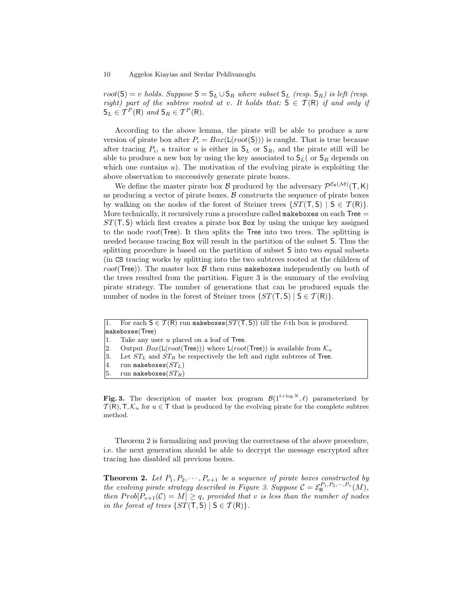$root(\mathsf{S}) = v$  holds. Suppose  $\mathsf{S} = \mathsf{S}_L \cup \mathsf{S}_R$  where subset  $\mathsf{S}_L$  (resp.  $\mathsf{S}_R$ ) is left (resp. right) part of the subtree rooted at v. It holds that:  $S \in \mathcal{T}(\mathsf{R})$  if and only if  $S_L \in \mathcal{T}^P(\mathsf{R})$  and  $S_R \in \mathcal{T}^P(\mathsf{R})$ .

According to the above lemma, the pirate will be able to produce a new version of pirate box after  $P_i = Box(L(root(S)))$  is caught. That is true because after tracing  $P_i$ , a traitor u is either in  $\mathsf{S}_L$  or  $\mathsf{S}_R$ , and the pirate still will be able to produce a new box by using the key associated to  $S_L$  or  $S_R$  depends on which one contains  $u$ ). The motivation of the evolving pirate is exploiting the above observation to successively generate pirate boxes.

We define the master pirate box  $\mathcal B$  produced by the adversary  $\mathcal P^{\mathcal E_R(\mathcal M)}(T,K)$ as producing a vector of pirate boxes.  $\beta$  constructs the sequence of pirate boxes by walking on the nodes of the forest of Steiner trees  $\{ST(T, S) | S \in T(R)\}.$ More technically, it recursively runs a procedure called makeboxes on each  $Tree =$  $ST(T, S)$  which first creates a pirate box Box by using the unique key assigned to the node  $root$ (Tree). It then splits the Tree into two trees. The splitting is needed because tracing Box will result in the partition of the subset S. Thus the splitting procedure is based on the partition of subset S into two equal subsets (in CS tracing works by splitting into the two subtrees rooted at the children of root(Tree)). The master box  $\beta$  then runs makeboxes independently on both of the trees resulted from the partition. Figure 3 is the summary of the evolving pirate strategy. The number of generations that can be produced equals the number of nodes in the forest of Steiner trees  $\{ST(T, S) | S \in T(R)\}.$ 

1. For each  $S \in \mathcal{T}(R)$  run makeboxes( $ST(T, S)$ ) till the  $\ell$ -th box is produced. makeboxes(Tree)

Fig. 3. The description of master box program  $\mathcal{B}(1^{t+\log N}, \ell)$  parameterized by  $\mathcal{T}(\mathsf{R}), \mathsf{T}, \mathcal{K}_u$  for  $u \in \mathsf{T}$  that is produced by the evolving pirate for the complete subtree method.

Theorem 2 is formalizing and proving the correctness of the above procedure, i.e. the next generation should be able to decrypt the message encrypted after tracing has disabled all previous boxes.

**Theorem 2.** Let  $P_1, P_2, \cdots, P_{v+1}$  be a sequence of pirate boxes constructed by the evolving pirate strategy described in Figure 3. Suppose  $C = \mathcal{E}_{\mathsf{R}}^{P_1, P_2, \cdots, P_v}(M)$ , then  $Prob[P_{v+1}(C) = M] \geq q$ , provided that v is less than the number of nodes in the forest of trees  $\{ST(\mathsf{T}, \mathsf{S}) \mid \mathsf{S} \in \mathcal{T}(\mathsf{R})\}.$ 

<sup>1.</sup> Take any user u placed on a leaf of Tree.

<sup>2.</sup> Output  $Box(L(root(Tree)))$  where  $L(root(Tree))$  is available from  $\mathcal{K}_u$ 

<sup>3.</sup> Let  $ST_L$  and  $ST_R$  be respectively the left and right subtrees of Tree.

<sup>4.</sup> run makeboxes $(ST_L)$ 

 $|5. \>$  run makeboxes $(ST_R)$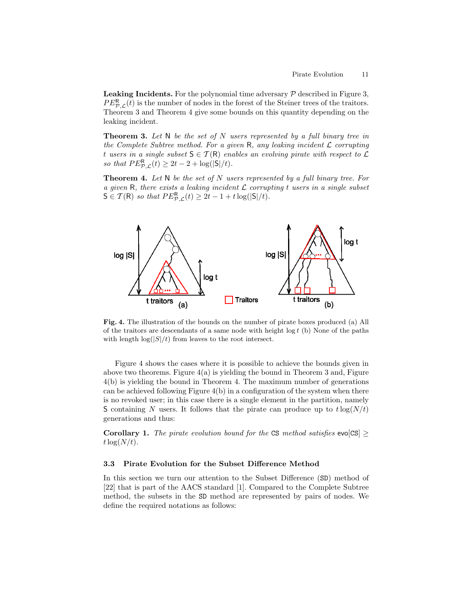**Leaking Incidents.** For the polynomial time adversary  $P$  described in Figure 3,  $PE_{\mathcal{P},\mathcal{L}}^{\mathsf{R}}(t)$  is the number of nodes in the forest of the Steiner trees of the traitors. Theorem 3 and Theorem 4 give some bounds on this quantity depending on the leaking incident.

**Theorem 3.** Let  $N$  be the set of  $N$  users represented by a full binary tree in the Complete Subtree method. For a given R, any leaking incident  $\mathcal L$  corrupting t users in a single subset  $S \in \mathcal{T}(R)$  enables an evolving pirate with respect to  $\mathcal{L}$ so that  $PE_{\mathcal{P},\mathcal{L}}^{\mathsf{R}}(t) \geq 2t - 2 + \log(|\mathsf{S}|/t).$ 

**Theorem 4.** Let  $N$  be the set of  $N$  users represented by a full binary tree. For a given R, there exists a leaking incident  $\mathcal L$  corrupting t users in a single subset  $S \in \mathcal{T}(\mathsf{R})$  so that  $PE_{\mathcal{P},\mathcal{L}}^{\mathsf{R}}(t) \geq 2t - 1 + t \log(|\mathsf{S}|/t).$ 



Fig. 4. The illustration of the bounds on the number of pirate boxes produced (a) All of the traitors are descendants of a same node with height  $log t$  (b) None of the paths with length  $\log(|S|/t)$  from leaves to the root intersect.

Figure 4 shows the cases where it is possible to achieve the bounds given in above two theorems. Figure 4(a) is yielding the bound in Theorem 3 and, Figure 4(b) is yielding the bound in Theorem 4. The maximum number of generations can be achieved following Figure 4(b) in a configuration of the system when there is no revoked user; in this case there is a single element in the partition, namely S containing N users. It follows that the pirate can produce up to  $t \log(N/t)$ generations and thus:

Corollary 1. The pirate evolution bound for the CS method satisfies  $evo[CS] \ge$  $t\log(N/t)$ .

## 3.3 Pirate Evolution for the Subset Difference Method

In this section we turn our attention to the Subset Difference (SD) method of [22] that is part of the AACS standard [1]. Compared to the Complete Subtree method, the subsets in the SD method are represented by pairs of nodes. We define the required notations as follows: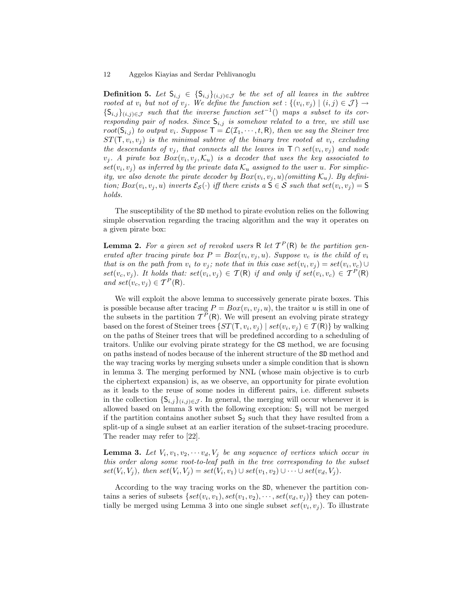**Definition 5.** Let  $S_{i,j} \in \{S_{i,j}\}_{(i,j)\in\mathcal{J}}$  be the set of all leaves in the subtree rooted at  $v_i$  but not of  $v_j$ . We define the function set :  $\{(v_i, v_j) \mid (i, j) \in \mathcal{J}\}\rightarrow$  ${S_{i,j}}_{(i,j)\in\mathcal{J}}$  such that the inverse function set<sup>-1</sup>() maps a subset to its corresponding pair of nodes. Since  $S_{i,j}$  is somehow related to a tree, we still use root( $S_{i,j}$ ) to output  $v_i$ . Suppose  $\mathsf{T} = \mathcal{L}(\mathcal{I}_1, \dots, \mathcal{I}, \mathsf{R})$ , then we say the Steiner tree  $ST(\mathsf{T}, v_i, v_j)$  is the minimal subtree of the binary tree rooted at  $v_i$ , excluding the descendants of  $v_j$ , that connects all the leaves in  $\top \cap set(v_i, v_j)$  and node  $v_j$ . A pirate box  $Box(v_i, v_j, \mathcal{K}_u)$  is a decoder that uses the key associated to set $(v_i, v_j)$  as inferred by the private data  $\mathcal{K}_u$  assigned to the user u. For simplicity, we also denote the pirate decoder by  $Box(v_i, v_j, u)$  (omitting  $\mathcal{K}_u$ ). By definition;  $Box(v_i, v_j, u)$  inverts  $\mathcal{E}_{\mathcal{S}}(\cdot)$  iff there exists a  $S \in \mathcal{S}$  such that  $set(v_i, v_j) = S$ holds.

The susceptibility of the SD method to pirate evolution relies on the following simple observation regarding the tracing algorithm and the way it operates on a given pirate box:

**Lemma 2.** For a given set of revoked users R let  $T^P(\mathsf{R})$  be the partition generated after tracing pirate box  $P = Box(v_i, v_j, u)$ . Suppose  $v_c$  is the child of  $v_i$ that is on the path from  $v_i$  to  $v_j$ ; note that in this case  $set(v_i, v_j) = set(v_i, v_c) \cup$  $set(v_c, v_j)$ . It holds that:  $set(v_i, v_j) \in \mathcal{T}(\mathsf{R})$  if and only if  $set(v_i, v_c) \in \mathcal{T}^P(\mathsf{R})$ and  $set(v_c, v_i) \in \mathcal{T}^P(\mathsf{R}).$ 

We will exploit the above lemma to successively generate pirate boxes. This is possible because after tracing  $P = Box(v_i, v_j, u)$ , the traitor u is still in one of the subsets in the partition  $\mathcal{T}^P(\mathsf{R})$ . We will present an evolving pirate strategy based on the forest of Steiner trees  $\{ST(\mathsf{T}, v_i, v_j) \mid set(v_i, v_j) \in \mathcal{T}(\mathsf{R})\}$  by walking on the paths of Steiner trees that will be predefined according to a scheduling of traitors. Unlike our evolving pirate strategy for the CS method, we are focusing on paths instead of nodes because of the inherent structure of the SD method and the way tracing works by merging subsets under a simple condition that is shown in lemma 3. The merging performed by NNL (whose main objective is to curb the ciphertext expansion) is, as we observe, an opportunity for pirate evolution as it leads to the reuse of some nodes in different pairs, i.e. different subsets in the collection  $\{S_{i,j}\}_{(i,j)\in\mathcal{J}}$ . In general, the merging will occur whenever it is allowed based on lemma 3 with the following exception:  $S_1$  will not be merged if the partition contains another subset  $S_2$  such that they have resulted from a split-up of a single subset at an earlier iteration of the subset-tracing procedure. The reader may refer to [22].

**Lemma 3.** Let  $V_i, v_1, v_2, \cdots v_d, V_j$  be any sequence of vertices which occur in this order along some root-to-leaf path in the tree corresponding to the subset  $set(V_i, V_j)$ , then  $set(V_i, V_j) = set(V_i, v_1) \cup set(v_1, v_2) \cup \cdots \cup set(v_d, V_j)$ .

According to the way tracing works on the SD, whenever the partition contains a series of subsets  $\{set(v_i, v_1), set(v_1, v_2), \cdots, set(v_d, v_j)\}$  they can potentially be merged using Lemma 3 into one single subset  $set(v_i, v_j)$ . To illustrate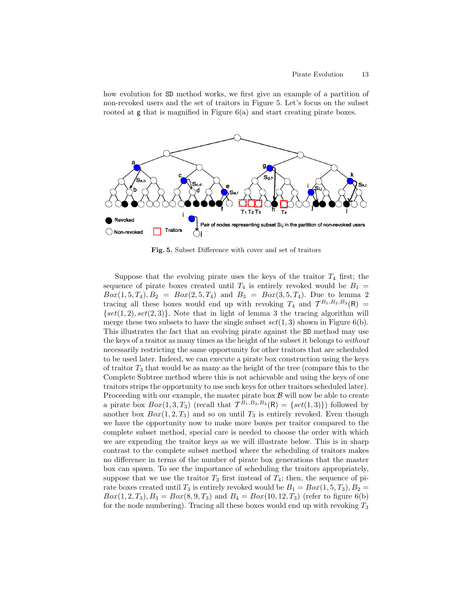how evolution for SD method works, we first give an example of a partition of non-revoked users and the set of traitors in Figure 5. Let's focus on the subset rooted at g that is magnified in Figure 6(a) and start creating pirate boxes.



Fig. 5. Subset Difference with cover and set of traitors

Suppose that the evolving pirate uses the keys of the traitor  $T_4$  first; the sequence of pirate boxes created until  $T_4$  is entirely revoked would be  $B_1 =$  $Box(1, 5, T_4), B_2 = Box(2, 5, T_4)$  and  $B_3 = Box(3, 5, T_4)$ . Due to lemma 2 tracing all these boxes would end up with revoking  $T_4$  and  $\mathcal{T}^{B_1,B_2,B_3}(\mathsf{R}) =$  $\{set(1, 2), set(2, 3)\}.$  Note that in light of lemma 3 the tracing algorithm will merge these two subsets to have the single subset  $set(1, 3)$  shown in Figure 6(b). This illustrates the fact that an evolving pirate against the SD method may use the keys of a traitor as many times as the height of the subset it belongs to without necessarily restricting the same opportunity for other traitors that are scheduled to be used later. Indeed, we can execute a pirate box construction using the keys of traitor  $T_3$  that would be as many as the height of the tree (compare this to the Complete Subtree method where this is not achievable and using the keys of one traitors strips the opportunity to use such keys for other traitors scheduled later). Proceeding with our example, the master pirate box  $\beta$  will now be able to create a pirate box  $Box(1, 3, T_3)$  (recall that  $\mathcal{T}^{B_1, B_2, B_3}(\mathsf{R}) = \{set(1, 3)\}\$  followed by another box  $Box(1, 2, T_3)$  and so on until  $T_3$  is entirely revoked. Even though we have the opportunity now to make more boxes per traitor compared to the complete subset method, special care is needed to choose the order with which we are expending the traitor keys as we will illustrate below. This is in sharp contrast to the complete subset method where the scheduling of traitors makes no difference in terms of the number of pirate box generations that the master box can spawn. To see the importance of scheduling the traitors appropriately, suppose that we use the traitor  $T_3$  first instead of  $T_4$ ; then, the sequence of pirate boxes created until  $T_3$  is entirely revoked would be  $B_1 = Box(1, 5, T_3), B_2 =$  $Box(1, 2, T_3), B_3 = Box(8, 9, T_3)$  and  $B_4 = Box(10, 12, T_3)$  (refer to figure 6(b) for the node numbering). Tracing all these boxes would end up with revoking  $T_3$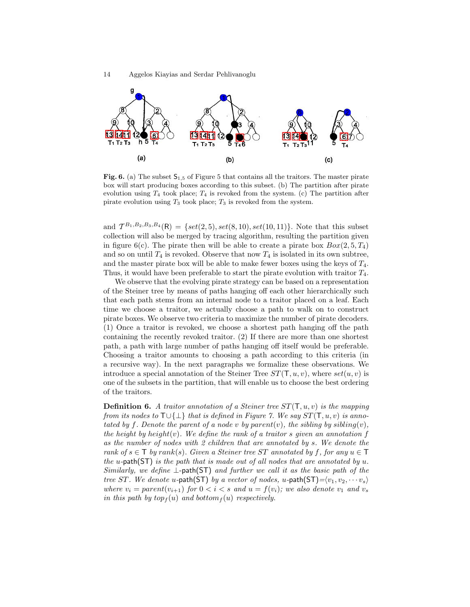

Fig. 6. (a) The subset  $S_{1,5}$  of Figure 5 that contains all the traitors. The master pirate box will start producing boxes according to this subset. (b) The partition after pirate evolution using  $T_4$  took place;  $T_4$  is revoked from the system. (c) The partition after pirate evolution using  $T_3$  took place;  $T_3$  is revoked from the system.

and  $\mathcal{T}^{B_1,B_2,B_3,B_4}(\mathsf{R}) = \{ set(2,5), set(8,10), set(10,11) \}.$  Note that this subset collection will also be merged by tracing algorithm, resulting the partition given in figure 6(c). The pirate then will be able to create a pirate box  $Box(2, 5, T_4)$ and so on until  $T_4$  is revoked. Observe that now  $T_4$  is isolated in its own subtree, and the master pirate box will be able to make fewer boxes using the keys of  $T_4$ . Thus, it would have been preferable to start the pirate evolution with traitor T4.

We observe that the evolving pirate strategy can be based on a representation of the Steiner tree by means of paths hanging off each other hierarchically such that each path stems from an internal node to a traitor placed on a leaf. Each time we choose a traitor, we actually choose a path to walk on to construct pirate boxes. We observe two criteria to maximize the number of pirate decoders. (1) Once a traitor is revoked, we choose a shortest path hanging off the path containing the recently revoked traitor. (2) If there are more than one shortest path, a path with large number of paths hanging off itself would be preferable. Choosing a traitor amounts to choosing a path according to this criteria (in a recursive way). In the next paragraphs we formalize these observations. We introduce a special annotation of the Steiner Tree  $ST(\mathsf{T}, u, v)$ , where  $set(u, v)$  is one of the subsets in the partition, that will enable us to choose the best ordering of the traitors.

**Definition 6.** A traitor annotation of a Steiner tree  $ST(T, u, v)$  is the mapping from its nodes to  $\mathsf{T}\cup\{\perp\}$  that is defined in Figure 7. We say  $ST(\mathsf{T},u,v)$  is annotated by f. Denote the parent of a node v by parent $(v)$ , the sibling by sibling $(v)$ , the height by height(v). We define the rank of a traitor s given an annotation f as the number of nodes with 2 children that are annotated by s. We denote the rank of  $s \in \mathsf{T}$  by rank(s). Given a Steiner tree ST annotated by f, for any  $u \in \mathsf{T}$ the u-path(ST) is the path that is made out of all nodes that are annotated by u. Similarly, we define ⊥-path(ST) and further we call it as the basic path of the tree ST. We denote u-path(ST) by a vector of nodes, u-path(ST)= $\langle v_1, v_2, \cdots v_s \rangle$ where  $v_i = parent(v_{i+1})$  for  $0 < i < s$  and  $u = f(v_i)$ ; we also denote  $v_1$  and  $v_s$ in this path by  $top_f(u)$  and bottom  $_f(u)$  respectively.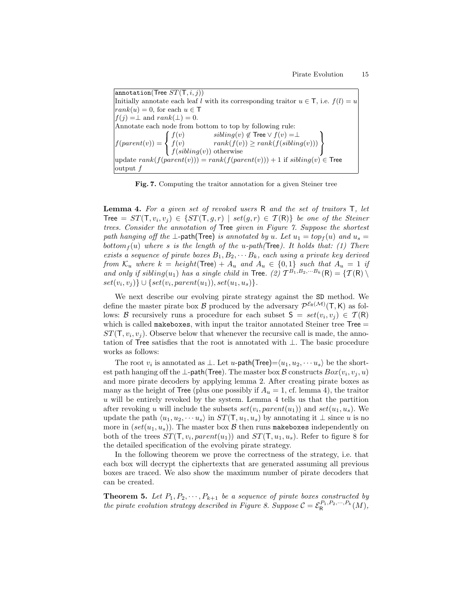annotation(Tree  $ST(T, i, j)$ ) Initially annotate each leaf l with its corresponding traitor  $u \in T$ , i.e.  $f(l) = u$  $rank(u) = 0$ , for each  $u \in T$  $f(j) = \perp$  and  $rank(\perp) = 0$ . Annotate each node from bottom to top by following rule:  $f(parent(v)) =$  $\sqrt{2}$  $\frac{1}{2}$  $\mathbf{I}$  $f(v)$  sibling(v)  $\notin$  Tree  $\vee$   $f(v) = \perp$  $f(v)$   $rank(f(v)) \ge rank(f(sibling(v)))$  $f(sibling(v))$  otherwise  $\mathcal{L}$  $\overline{\mathcal{L}}$ ; update  $rank(f(parent(v))) = rank(f(parent(v))) + 1$  if  $sibling(v) \in Tree$ output  $f$ 

Fig. 7. Computing the traitor annotation for a given Steiner tree

Lemma 4. For a given set of revoked users R and the set of traitors T, let  $\textsf{Tree} = \textit{ST}(\textsf{T}, v_i, v_j) \in \{\textit{ST}(\textsf{T}, g, r) \,\mid\, \textit{set}(g, r) \in \textsf{T}(\textsf{R})\}$  be one of the Steiner trees. Consider the annotation of Tree given in Figure 7. Suppose the shortest path hanging off the  $\bot$ -path(Tree) is annotated by u. Let  $u_1 = top_f(u)$  and  $u_s =$ bottom<sub>f</sub>(u) where s is the length of the u-path(Tree). It holds that: (1) There exists a sequence of pirate boxes  $B_1, B_2, \cdots B_k$ , each using a private key derived from  $\mathcal{K}_u$  where  $k = height(\text{Tree}) + A_u$  and  $A_u \in \{0,1\}$  such that  $A_u = 1$  if and only if sibling(u<sub>1</sub>) has a single child in Tree. (2)  $T^{B_1,B_2,\cdots B_k}(R) = \{T(R) \setminus R\}$  $set(v_i, v_j) \cup \{set(v_i, parent(u_1)), set(u_1, u_s)\}.$ 

We next describe our evolving pirate strategy against the SD method. We define the master pirate box  $\mathcal B$  produced by the adversary  $\mathcal P^{\mathcal E_R(\mathcal M)}(T,K)$  as follows: B recursively runs a procedure for each subset  $S = set(v_i, v_j) \in \mathcal{T}(R)$ which is called makeboxes, with input the traitor annotated Steiner tree Tree =  $ST(\mathsf{T}, v_i, v_j)$ . Observe below that whenever the recursive call is made, the annotation of Tree satisfies that the root is annotated with ⊥. The basic procedure works as follows:

The root  $v_i$  is annotated as  $\bot$ . Let u-path(Tree)= $\langle u_1, u_2, \cdots u_s \rangle$  be the shortest path hanging off the ⊥-path(Tree). The master box  ${\cal B}$  constructs  $Box(v_i,v_j,u)$ and more pirate decoders by applying lemma 2. After creating pirate boxes as many as the height of Tree (plus one possibly if  $A_u = 1$ , cf. lemma 4), the traitor  $u$  will be entirely revoked by the system. Lemma 4 tells us that the partition after revoking u will include the subsets  $set(v_i, parent(u_1))$  and  $set(u_1, u_s)$ . We update the path  $\langle u_1, u_2, \cdots u_s \rangle$  in  $ST(T, u_1, u_s)$  by annotating it  $\bot$  since u is no more in  $(set(u_1, u_s))$ . The master box  $\beta$  then runs makeboxes independently on both of the trees  $ST(\mathsf{T}, v_i, parent(u_1))$  and  $ST(\mathsf{T}, u_1, u_s)$ . Refer to figure 8 for the detailed specification of the evolving pirate strategy.

In the following theorem we prove the correctness of the strategy, i.e. that each box will decrypt the ciphertexts that are generated assuming all previous boxes are traced. We also show the maximum number of pirate decoders that can be created.

**Theorem 5.** Let  $P_1, P_2, \cdots, P_{k+1}$  be a sequence of pirate boxes constructed by the pirate evolution strategy described in Figure 8. Suppose  $C = \mathcal{E}_{\mathsf{R}}^{P_1, P_2, \cdots, P_k}(M)$ ,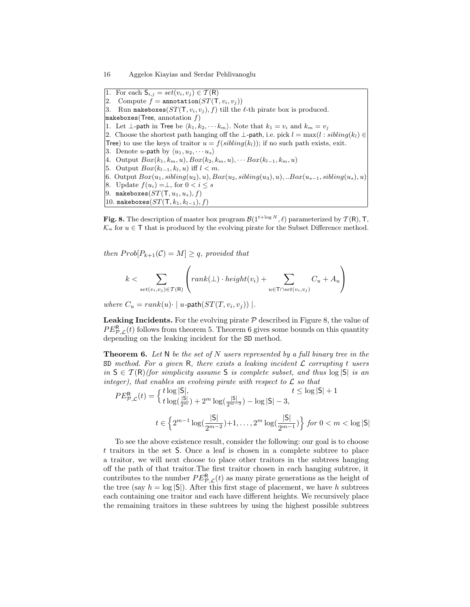1. For each  $S_{i,j} = set(v_i, v_j) \in \mathcal{T}(\mathsf{R})$ 2. Compute  $f = \text{annotation}(ST(\mathsf{T}, v_i, v_j))$ 3. Run makeboxes( $ST(T, v_i, v_j)$ , f) till the  $\ell$ -th pirate box is produced.  $\vert$ makeboxes(Tree, annotation  $f$ ) 1. Let  $\perp$ -path in Tree be  $\langle k_1, k_2, \cdots k_m \rangle$ . Note that  $k_1 = v_i$  and  $k_m = v_j$ 2. Choose the shortest path hanging off the ⊥-path, i.e. pick  $l = \max(l : sibling(k_l) \in$ **Tree**) to use the keys of traitor  $u = f(\text{sibling}(k_l))$ ; if no such path exists, exit. 3. Denote *u*-path by  $\langle u_1, u_2, \cdots u_s \rangle$ 4. Output  $Box(k_1, k_m, u), Box(k_2, k_m, u), \cdots Box(k_{l-1}, k_m, u)$ 5. Output  $Box(k_{l-1}, k_l, u)$  iff  $l < m$ . 6. Output  $Box(u_1, sibling(u_2), u), Box(u_2, sibling(u_3), u), ...Box(u_{s-1}, sibling(u_s), u)$ 8. Update  $f(u_i) = \perp$ , for  $0 < i \leq s$ 9. makeboxes $(ST(T, u_1, u_s), f)$  $|10.$  makeboxes $(ST(\mathsf{T}, k_1, k_{l-1}), f)$ 

Fig. 8. The description of master box program  $\mathcal{B}(1^{t+\log N}, \ell)$  parameterized by  $\mathcal{T}(\mathsf{R}), \mathsf{T}$ ,  $\mathcal{K}_u$  for  $u \in \mathsf{T}$  that is produced by the evolving pirate for the Subset Difference method.

then  $Prob[P_{k+1}(C) = M] \geq q$ , provided that

$$
k < \sum_{set(v_i, v_j) \in \mathcal{T}(\mathsf{R})} \left( rank(\bot) \cdot height(v_i) + \sum_{u \in \mathsf{T} \cap set(v_i, v_j)} C_u + A_u \right)
$$

where  $C_u = rank(u) \cdot | u$ -path $(ST(T, v_i, v_j)) |$ .

**Leaking Incidents.** For the evolving pirate  $P$  described in Figure 8, the value of  $PE_{\mathcal{P},\mathcal{L}}^{\mathsf{R}}(t)$  follows from theorem 5. Theorem 6 gives some bounds on this quantity depending on the leaking incident for the SD method.

**Theorem 6.** Let  $N$  be the set of  $N$  users represented by a full binary tree in the SD method. For a given R, there exists a leaking incident  $\mathcal L$  corrupting t users in  $S \in \mathcal{T}(\mathsf{R})$  (for simplicity assume S is complete subset, and thus  $\log |\mathsf{S}|$  is an integer), that enables an evolving pirate with respect to  $\mathcal L$  so that

$$
PE_{\mathcal{P}, \mathcal{L}}^{\mathsf{R}}(t) = \left\{ \begin{aligned} & t \log |\mathsf{S}|, & t \le \log |\mathsf{S}| + 1 \\ & t \log(\frac{|\mathsf{S}|}{2^m}) + 2^m \log(\frac{|\mathsf{S}|}{2^{m-3}}) - \log |\mathsf{S}| - 3, \end{aligned} \right. \\ t \in \left\{ 2^{m-1} \log(\frac{|\mathsf{S}|}{2^{m-2}}) + 1, \dots, 2^m \log(\frac{|\mathsf{S}|}{2^{m-1}}) \right\} \text{ for } 0 < m < \log |\mathsf{S}|
$$

To see the above existence result, consider the following: our goal is to choose t traitors in the set S. Once a leaf is chosen in a complete subtree to place a traitor, we will next choose to place other traitors in the subtrees hanging off the path of that traitor.The first traitor chosen in each hanging subtree, it contributes to the number  $PE_{\mathcal{P},\mathcal{L}}^{\mathsf{R}}(t)$  as many pirate generations as the height of the tree (say  $h = \log |S|$ ). After this first stage of placement, we have h subtrees each containing one traitor and each have different heights. We recursively place the remaining traitors in these subtrees by using the highest possible subtrees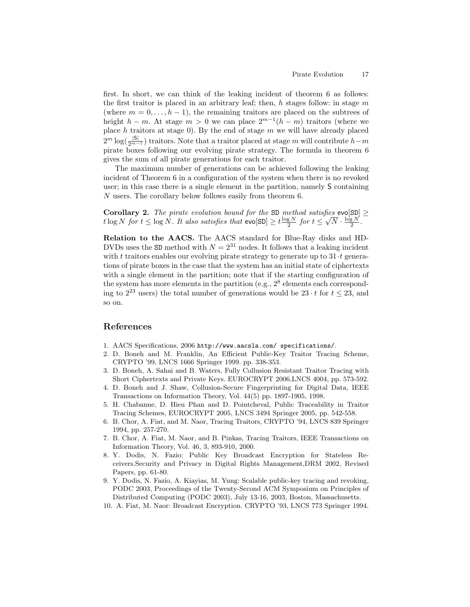first. In short, we can think of the leaking incident of theorem 6 as follows: the first traitor is placed in an arbitrary leaf; then,  $h$  stages follow: in stage  $m$ (where  $m = 0, \ldots, h - 1$ ), the remaining traitors are placed on the subtrees of height  $h - m$ . At stage  $m > 0$  we can place  $2^{m-1}(h - m)$  traitors (where we place h traitors at stage 0). By the end of stage  $m$  we will have already placed  $2^m \log(\frac{|S|}{2^{m-1}})$  traitors. Note that a traitor placed at stage m will contribute  $h-m$ pirate boxes following our evolving pirate strategy. The formula in theorem 6 gives the sum of all pirate generations for each traitor.

The maximum number of generations can be achieved following the leaking incident of Theorem 6 in a configuration of the system when there is no revoked user; in this case there is a single element in the partition, namely S containing N users. The corollary below follows easily from theorem 6.

**Corollary 2.** The pirate evolution bound for the SD method satisfies  $\text{evo}[\text{SD}] \geq$  $t \log N$  for  $t \leq \log N$ . It also satisfies that  $\text{evo}[\texttt{SD}] \geq t \frac{\log N}{2}$  for  $t \leq \sqrt{N} \cdot \frac{\log N}{2}$ .

Relation to the AACS. The AACS standard for Blue-Ray disks and HD-DVDs uses the SD method with  $N = 2^{31}$  nodes. It follows that a leaking incident with t traitors enables our evolving pirate strategy to generate up to  $31 \cdot t$  generations of pirate boxes in the case that the system has an initial state of ciphertexts with a single element in the partition; note that if the starting configuration of the system has more elements in the partition  $(e.g., 2<sup>8</sup>$  elements each corresponding to  $2^{23}$  users) the total number of generations would be  $23 \cdot t$  for  $t \leq 23$ , and so on.

# References

- 1. AACS Specifications, 2006 http://www.aacsla.com/ specifications/.
- 2. D. Boneh and M. Franklin, An Efficient Public-Key Traitor Tracing Scheme, CRYPTO '99, LNCS 1666 Springer 1999. pp. 338-353.
- 3. D. Boneh, A. Sahai and B. Waters, Fully Collusion Resistant Traitor Tracing with Short Ciphertexts and Private Keys. EUROCRYPT 2006,LNCS 4004, pp. 573-592.
- 4. D. Boneh and J. Shaw, Collusion-Secure Fingerprinting for Digital Data, IEEE Transactions on Information Theory, Vol. 44(5) pp. 1897-1905, 1998.
- 5. H. Chabanne, D. Hieu Phan and D. Pointcheval, Public Traceability in Traitor Tracing Schemes, EUROCRYPT 2005, LNCS 3494 Springer 2005, pp. 542-558.
- 6. B. Chor, A. Fiat, and M. Naor, Tracing Traitors, CRYPTO '94, LNCS 839 Springer 1994, pp. 257-270.
- 7. B. Chor, A. Fiat, M. Naor, and B. Pinkas, Tracing Traitors, IEEE Transactions on Information Theory, Vol. 46, 3, 893-910, 2000.
- 8. Y. Dodis, N. Fazio: Public Key Broadcast Encryption for Stateless Receivers.Security and Privacy in Digital Rights Management,DRM 2002, Revised Papers, pp. 61-80.
- 9. Y. Dodis, N. Fazio, A. Kiayias, M. Yung: Scalable public-key tracing and revoking, PODC 2003, Proceedings of the Twenty-Second ACM Symposium on Principles of Distributed Computing (PODC 2003), July 13-16, 2003, Boston, Massachusetts.
- 10. A. Fiat, M. Naor: Broadcast Encryption. CRYPTO '93, LNCS 773 Springer 1994.